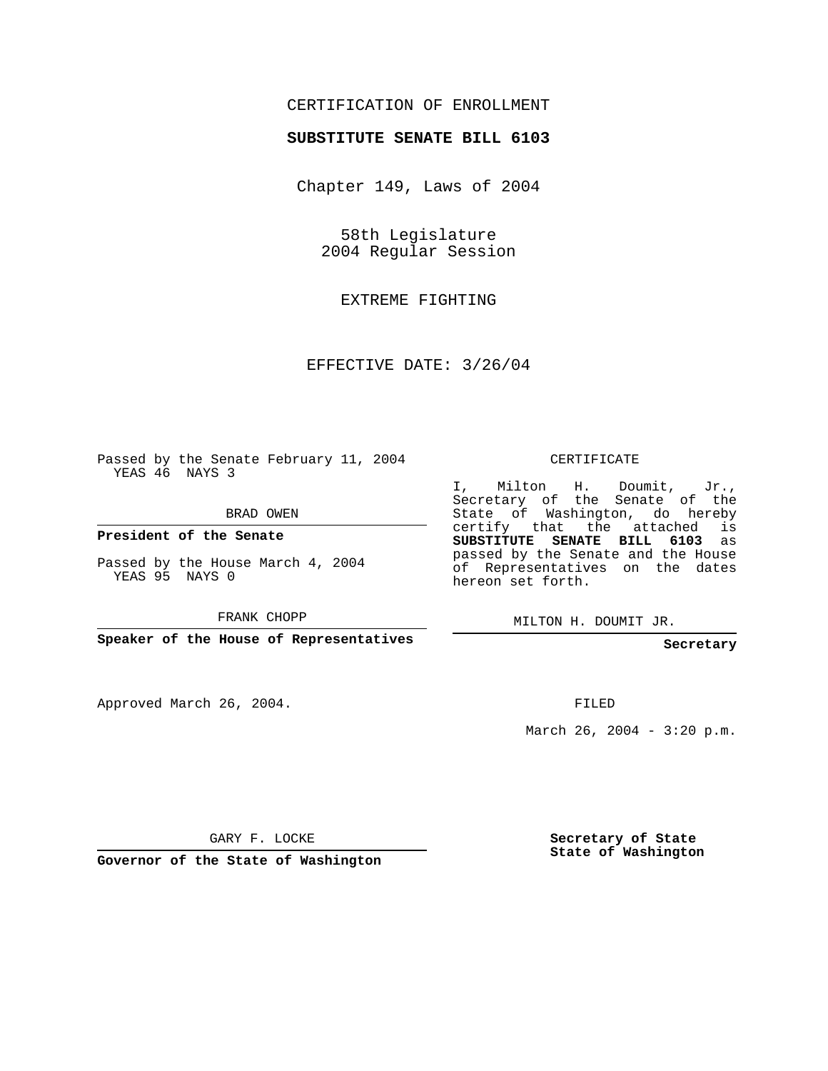## CERTIFICATION OF ENROLLMENT

## **SUBSTITUTE SENATE BILL 6103**

Chapter 149, Laws of 2004

58th Legislature 2004 Regular Session

EXTREME FIGHTING

EFFECTIVE DATE: 3/26/04

Passed by the Senate February 11, 2004 YEAS 46 NAYS 3

BRAD OWEN

**President of the Senate**

Passed by the House March 4, 2004 YEAS 95 NAYS 0

FRANK CHOPP

**Speaker of the House of Representatives**

Approved March 26, 2004.

CERTIFICATE

I, Milton H. Doumit, Jr., Secretary of the Senate of the State of Washington, do hereby certify that the attached is **SUBSTITUTE SENATE BILL 6103** as passed by the Senate and the House of Representatives on the dates hereon set forth.

MILTON H. DOUMIT JR.

**Secretary**

FILED

March 26, 2004 -  $3:20$  p.m.

GARY F. LOCKE

**Governor of the State of Washington**

**Secretary of State State of Washington**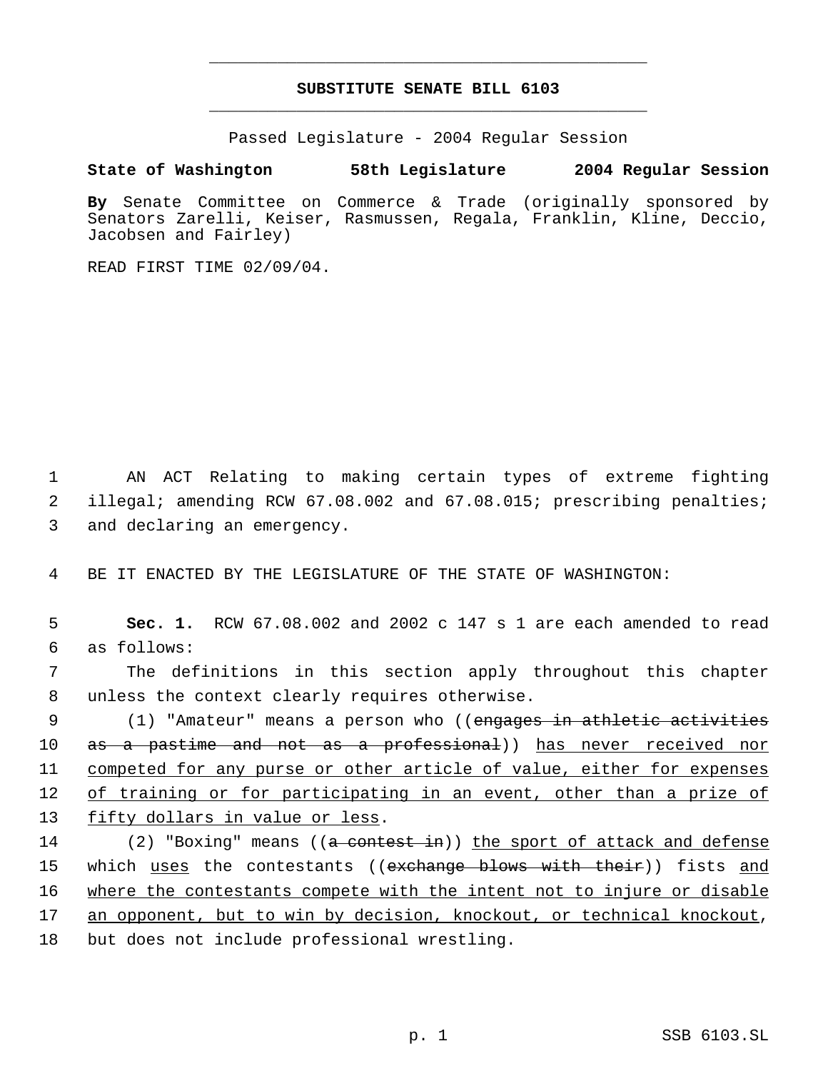## **SUBSTITUTE SENATE BILL 6103** \_\_\_\_\_\_\_\_\_\_\_\_\_\_\_\_\_\_\_\_\_\_\_\_\_\_\_\_\_\_\_\_\_\_\_\_\_\_\_\_\_\_\_\_\_

\_\_\_\_\_\_\_\_\_\_\_\_\_\_\_\_\_\_\_\_\_\_\_\_\_\_\_\_\_\_\_\_\_\_\_\_\_\_\_\_\_\_\_\_\_

Passed Legislature - 2004 Regular Session

## **State of Washington 58th Legislature 2004 Regular Session**

**By** Senate Committee on Commerce & Trade (originally sponsored by Senators Zarelli, Keiser, Rasmussen, Regala, Franklin, Kline, Deccio, Jacobsen and Fairley)

READ FIRST TIME 02/09/04.

 1 AN ACT Relating to making certain types of extreme fighting 2 illegal; amending RCW 67.08.002 and 67.08.015; prescribing penalties; 3 and declaring an emergency.

4 BE IT ENACTED BY THE LEGISLATURE OF THE STATE OF WASHINGTON:

 5 **Sec. 1.** RCW 67.08.002 and 2002 c 147 s 1 are each amended to read 6 as follows:

 7 The definitions in this section apply throughout this chapter 8 unless the context clearly requires otherwise.

9 (1) "Amateur" means a person who ((engages in athletic activities 10 as a pastime and not as a professional)) has never received nor 11 competed for any purse or other article of value, either for expenses 12 of training or for participating in an event, other than a prize of 13 fifty dollars in value or less.

14 (2) "Boxing" means ((a contest in)) the sport of attack and defense 15 which <u>uses</u> the contestants ((<del>exchange blows with their</del>)) fists <u>and</u> 16 where the contestants compete with the intent not to injure or disable 17 an opponent, but to win by decision, knockout, or technical knockout, 18 but does not include professional wrestling.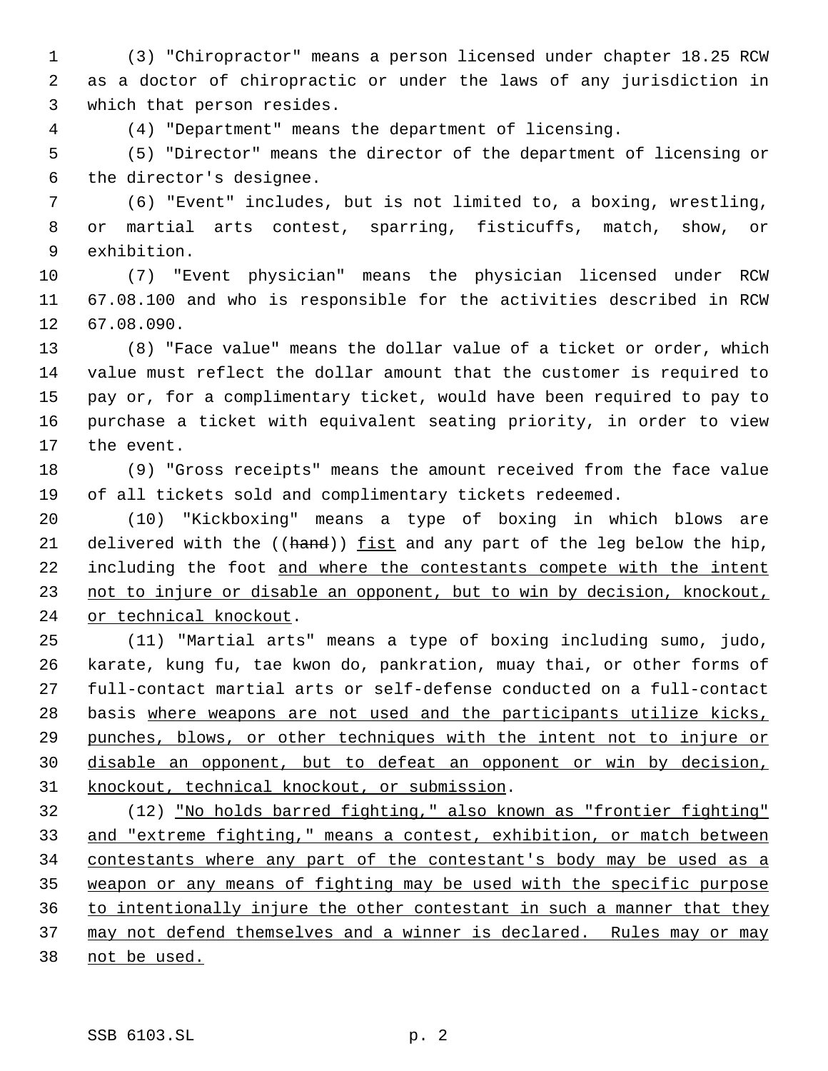(3) "Chiropractor" means a person licensed under chapter 18.25 RCW as a doctor of chiropractic or under the laws of any jurisdiction in which that person resides.

(4) "Department" means the department of licensing.

 (5) "Director" means the director of the department of licensing or the director's designee.

 (6) "Event" includes, but is not limited to, a boxing, wrestling, or martial arts contest, sparring, fisticuffs, match, show, or exhibition.

 (7) "Event physician" means the physician licensed under RCW 67.08.100 and who is responsible for the activities described in RCW 67.08.090.

 (8) "Face value" means the dollar value of a ticket or order, which value must reflect the dollar amount that the customer is required to pay or, for a complimentary ticket, would have been required to pay to purchase a ticket with equivalent seating priority, in order to view the event.

 (9) "Gross receipts" means the amount received from the face value of all tickets sold and complimentary tickets redeemed.

 (10) "Kickboxing" means a type of boxing in which blows are 21 delivered with the ((hand)) fist and any part of the leg below the hip, 22 including the foot and where the contestants compete with the intent 23 not to injure or disable an opponent, but to win by decision, knockout, 24 or technical knockout.

 (11) "Martial arts" means a type of boxing including sumo, judo, karate, kung fu, tae kwon do, pankration, muay thai, or other forms of full-contact martial arts or self-defense conducted on a full-contact basis where weapons are not used and the participants utilize kicks, punches, blows, or other techniques with the intent not to injure or disable an opponent, but to defeat an opponent or win by decision, knockout, technical knockout, or submission.

 (12) "No holds barred fighting," also known as "frontier fighting" and "extreme fighting," means a contest, exhibition, or match between contestants where any part of the contestant's body may be used as a weapon or any means of fighting may be used with the specific purpose to intentionally injure the other contestant in such a manner that they 37 may not defend themselves and a winner is declared. Rules may or may not be used.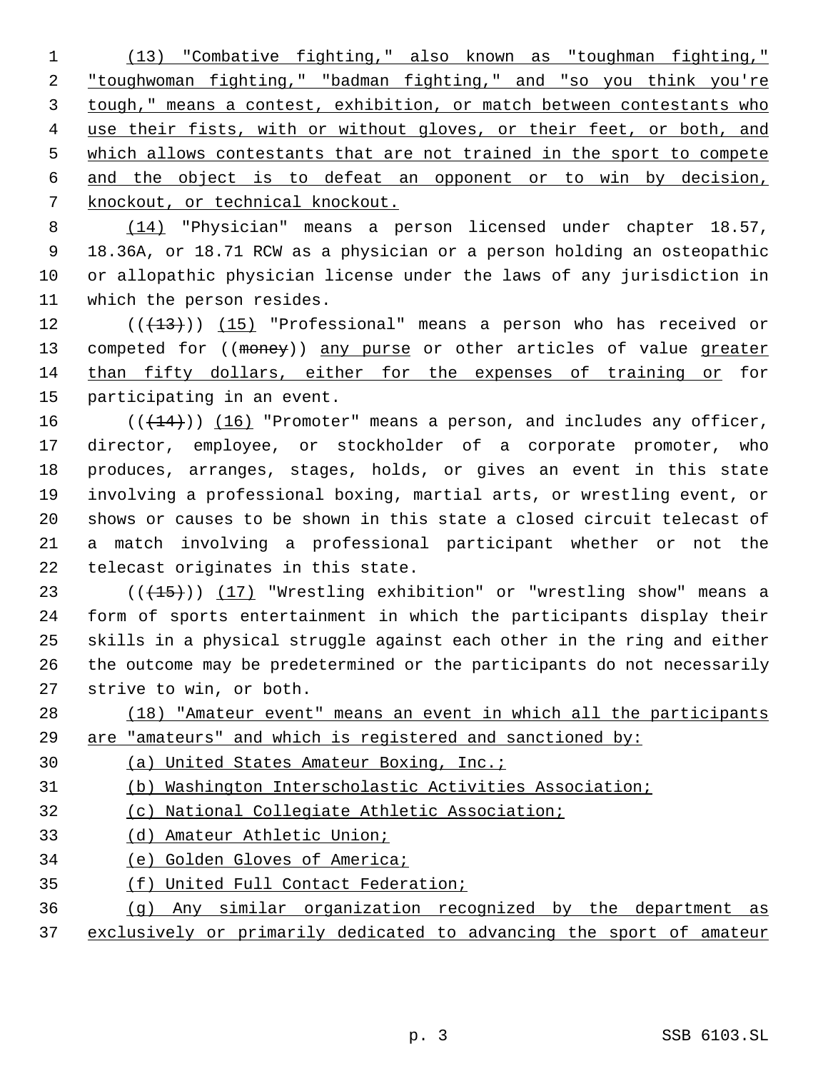(13) "Combative fighting," also known as "toughman fighting," "toughwoman fighting," "badman fighting," and "so you think you're tough," means a contest, exhibition, or match between contestants who 4 use their fists, with or without gloves, or their feet, or both, and 5 which allows contestants that are not trained in the sport to compete and the object is to defeat an opponent or to win by decision, knockout, or technical knockout.

 (14) "Physician" means a person licensed under chapter 18.57, 18.36A, or 18.71 RCW as a physician or a person holding an osteopathic or allopathic physician license under the laws of any jurisdiction in which the person resides.

 $((+13))$   $(15)$  "Professional" means a person who has received or 13 competed for ((money)) any purse or other articles of value greater than fifty dollars, either for the expenses of training or for participating in an event.

 $((+14))$   $(16)$  "Promoter" means a person, and includes any officer, director, employee, or stockholder of a corporate promoter, who produces, arranges, stages, holds, or gives an event in this state involving a professional boxing, martial arts, or wrestling event, or shows or causes to be shown in this state a closed circuit telecast of a match involving a professional participant whether or not the telecast originates in this state.

23 ( $(\overline{+15})$ )  $(17)$  "Wrestling exhibition" or "wrestling show" means a form of sports entertainment in which the participants display their skills in a physical struggle against each other in the ring and either the outcome may be predetermined or the participants do not necessarily strive to win, or both.

 (18) "Amateur event" means an event in which all the participants are "amateurs" and which is registered and sanctioned by:

(a) United States Amateur Boxing, Inc.;

(b) Washington Interscholastic Activities Association;

- (c) National Collegiate Athletic Association;
- (d) Amateur Athletic Union;
- (e) Golden Gloves of America;
- (f) United Full Contact Federation;
- (g) Any similar organization recognized by the department as
- exclusively or primarily dedicated to advancing the sport of amateur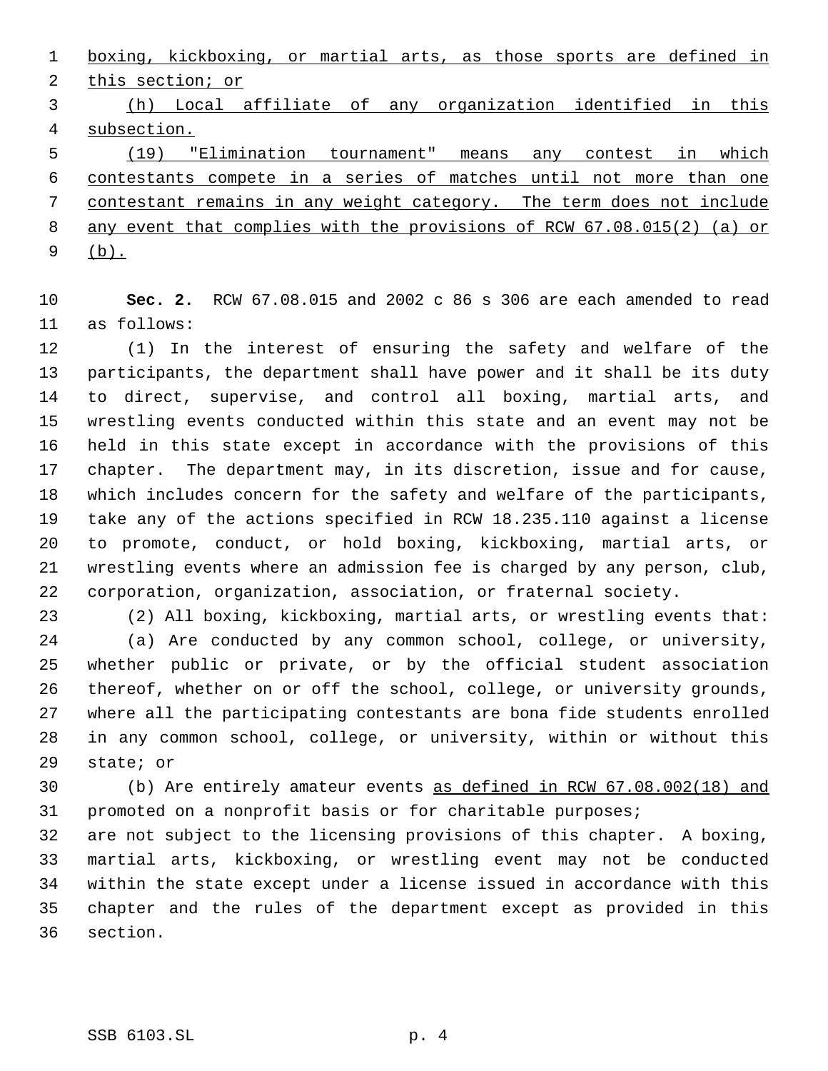boxing, kickboxing, or martial arts, as those sports are defined in this section; or

 (h) Local affiliate of any organization identified in this subsection.

 (19) "Elimination tournament" means any contest in which contestants compete in a series of matches until not more than one contestant remains in any weight category. The term does not include any event that complies with the provisions of RCW 67.08.015(2) (a) or (b).

 **Sec. 2.** RCW 67.08.015 and 2002 c 86 s 306 are each amended to read as follows:

 (1) In the interest of ensuring the safety and welfare of the participants, the department shall have power and it shall be its duty to direct, supervise, and control all boxing, martial arts, and wrestling events conducted within this state and an event may not be held in this state except in accordance with the provisions of this chapter. The department may, in its discretion, issue and for cause, which includes concern for the safety and welfare of the participants, take any of the actions specified in RCW 18.235.110 against a license to promote, conduct, or hold boxing, kickboxing, martial arts, or wrestling events where an admission fee is charged by any person, club, corporation, organization, association, or fraternal society.

 (2) All boxing, kickboxing, martial arts, or wrestling events that: (a) Are conducted by any common school, college, or university, whether public or private, or by the official student association thereof, whether on or off the school, college, or university grounds, where all the participating contestants are bona fide students enrolled in any common school, college, or university, within or without this state; or

 (b) Are entirely amateur events as defined in RCW 67.08.002(18) and promoted on a nonprofit basis or for charitable purposes;

 are not subject to the licensing provisions of this chapter. A boxing, martial arts, kickboxing, or wrestling event may not be conducted within the state except under a license issued in accordance with this chapter and the rules of the department except as provided in this section.